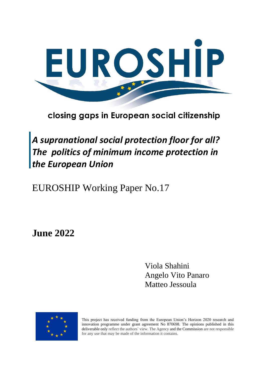

closing gaps in European social citizenship

*A supranational social protection floor for all? The politics of minimum income protection in the European Union*

EUROSHIP Working Paper No.17

**June 2022**

Viola Shahini Angelo Vito Panaro Matteo Jessoula



This project has received funding from the European Union's Horizon 2020 research and innovation programme under grant agreement No 870698. The opinions published in this deliverable only reflect the authors` view. The Agency and the Commission are not responsible for any use that may be made of the information it contains.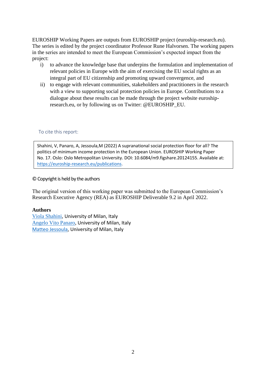EUROSHIP Working Papers are outputs from EUROSHIP project (euroship-research.eu). The series is edited by the project coordinator Professor Rune Halvorsen. The working papers in the series are intended to meet the European Commission's expected impact from the project:

- i) to advance the knowledge base that underpins the formulation and implementation of relevant policies in Europe with the aim of exercising the EU social rights as an integral part of EU citizenship and promoting upward convergence, and
- ii) to engage with relevant communities, stakeholders and practitioners in the research with a view to supporting social protection policies in Europe. Contributions to a dialogue about these results can be made through the project website euroshipresearch.eu, or by following us on Twitter: @EUROSHIP\_EU.

#### To cite this report:

Shahini, V, Panaro, A, Jessoula,M (2022) A supranational social protection floor for all? The politics of minimum income protection in the European Union. EUROSHIP Working Paper No. 17. Oslo: Oslo Metropolitan University. DOI: 10.6084/m9.figshare.20124155. Available at: [https://euroship-research.eu/publications.](https://euroship-research.eu/publications)

#### © Copyright is held by the authors

The original version of this working paper was submitted to the European Commission's Research Executive Agency (REA) as EUROSHIP Deliverable 9.2 in April 2022.

#### **Authors**

[Viola Shahini,](mailto:viola.shahini@unimi.it) University of Milan, Italy Angelo [Vito Panaro,](mailto:angelo.panaro@unimi.it) University of Milan, Italy [Matteo Jessoula,](mailto:matteo.jessoula@unimi.it) University of Milan, Italy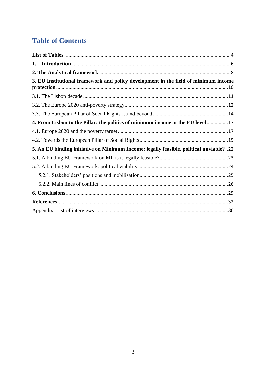# **Table of Contents**

| 1.                                                                                     |  |
|----------------------------------------------------------------------------------------|--|
|                                                                                        |  |
| 3. EU Institutional framework and policy development in the field of minimum income    |  |
|                                                                                        |  |
|                                                                                        |  |
|                                                                                        |  |
| 4. From Lisbon to the Pillar: the politics of minimum income at the EU level17         |  |
|                                                                                        |  |
|                                                                                        |  |
| 5. An EU binding initiative on Minimum Income: legally feasible, political unviable?22 |  |
|                                                                                        |  |
|                                                                                        |  |
|                                                                                        |  |
|                                                                                        |  |
|                                                                                        |  |
|                                                                                        |  |
|                                                                                        |  |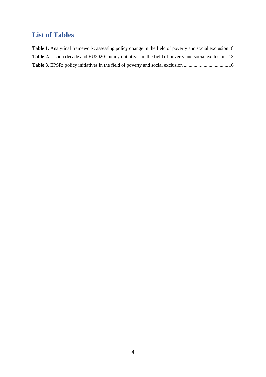# <span id="page-3-0"></span>**List of Tables**

| <b>Table 1.</b> Analytical framework: assessing policy change in the field of poverty and social exclusion .8 |  |
|---------------------------------------------------------------------------------------------------------------|--|
| <b>Table 2.</b> Lisbon decade and EU2020: policy initiatives in the field of poverty and social exclusion13   |  |
|                                                                                                               |  |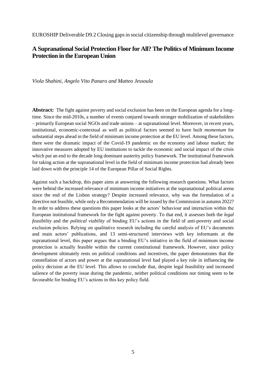EUROSHIP Deliverable D9.2 Closing gaps in social citizenship through multilevel governance

#### **A Supranational Social Protection Floor for All? The Politics of Minimum Income Protection in the European Union**

#### *Viola Shahini, Angelo Vito Panaro and Matteo Jessoula*

**Abstract:** The fight against poverty and social exclusion has been on the European agenda for a longtime. Since the mid-2010s, a number of events conjured towards stronger mobilization of stakeholders – primarily European social NGOs and trade unions – at supranational level. Moreover, in recent years, institutional, economic-contextual as well as political factors seemed to have built *momentum* for substantial steps ahead in the field of minimum income protection at the EU level. Among these factors, there were the dramatic impact of the Covid-19 pandemic on the economy and labour market; the innovative measures adopted by EU institutions to tackle the economic and social impact of the crisis which put an end to the decade long dominant austerity policy framework. The institutional framework for taking action at the supranational level in the field of minimum income protection had already been laid down with the principle 14 of the European Pillar of Social Rights.

Against such a backdrop, this paper aims at answering the following research questions. What factors were behind the increased relevance of minimum income initiatives at the supranational political arena since the end of the Lisbon strategy? Despite increased relevance, why was the formulation of a directive not feasible, while only a Recommendation will be issued by the Commission in autumn 2022? In order to address these questions this paper looks at the actors' behaviour and interaction within the European institutional framework for the fight against poverty. To that end, it assesses both the *legal feasibility* and the *political viability* of binding EU's actions in the field of anti-poverty and social exclusion policies. Relying on qualitative research including the careful analysis of EU's documents and main actors' publications, and 13 semi-structured interviews with key informants at the supranational level, this paper argues that a binding EU's initiative in the field of minimum income protection is actually feasible within the current constitutional framework. However, since policy development ultimately rests on political conditions and incentives, the paper demonstrates that the constellation of actors and power at the supranational level had played a key role in influencing the policy decision at the EU level. This allows to conclude that, despite legal feasibility and increased salience of the poverty issue during the pandemic, neither political conditions nor timing seem to be favourable for binding EU's actions in this key policy field.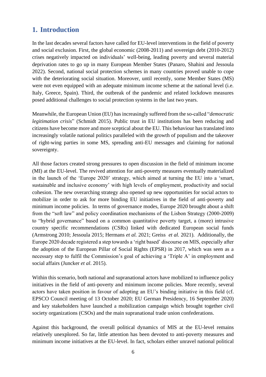## <span id="page-5-0"></span>**1. Introduction**

In the last decades several factors have called for EU-level interventions in the field of poverty and social exclusion. First, the global economic (2008-2011) and sovereign debt (2010-2012) crises negatively impacted on individuals' well-being, leading poverty and several material deprivation rates to go up in many European Member States (Panaro, Shahini and Jessoula 2022). Second, national social protection schemes in many countries proved unable to cope with the deteriorating social situation. Moreover, until recently, some Member States (MS) were not even equipped with an adequate minimum income scheme at the national level (i.e. Italy, Greece, Spain). Third, the outbreak of the pandemic and related lockdown measures posed additional challenges to social protection systems in the last two years.

Meanwhile, the European Union (EU) has increasingly suffered from the so-called "*democratic legitimation crisis*" (Schmidt 2015). Public trust in EU institutions has been reducing and citizens have become more and more sceptical about the EU. This behaviour has translated into increasingly volatile national politics paralleled with the growth of populism and the takeover of right-wing parties in some MS, spreading anti-EU messages and claiming for national sovereignty.

All those factors created strong pressures to open discussion in the field of minimum income (MI) at the EU-level. The revived attention for anti-poverty measures eventually materialized in the launch of the 'Europe 2020' strategy, which aimed at turning the EU into a 'smart, sustainable and inclusive economy' with high levels of employment, productivity and social cohesion. The new overarching strategy also opened up new opportunities for social actors to mobilize in order to ask for more binding EU initiatives in the field of anti-poverty and minimum income policies. In terms of governance modes, Europe 2020 brought about a shift from the "soft law" and policy coordination mechanisms of the Lisbon Strategy (2000-2009) to "hybrid governance" based on a common quantitative poverty target, a (more) intrusive country specific recommendations (CSRs) linked with dedicated European social funds (Armstrong 2010; Jessoula 2015; Hermans *et al.* 2021; Greiss *et al.* 2021). Additionally, the Europe 2020 decade registered a step towards a 'right based' discourse on MIS, especially after the adoption of the European Pillar of Social Rights (EPSR) in 2017, which was seen as a necessary step to fulfil the Commission's goal of achieving a 'Triple A' in employment and social affairs (Juncker *et al*. 2015).

Within this scenario, both national and supranational actors have mobilized to influence policy initiatives in the field of anti-poverty and minimum income policies. More recently, several actors have taken position in favour of adopting an EU's binding initiative in this field (cf. EPSCO Council meeting of 13 October 2020; EU German Presidency, 16 September 2020) and key stakeholders have launched a mobilization campaign which brought together civil society organizations (CSOs) and the main supranational trade union confederations.

Against this background, the overall political dynamics of MIS at the EU-level remains relatively unexplored. So far, little attention has been devoted to anti-poverty measures and minimum income initiatives at the EU-level. In fact, scholars either unravel national political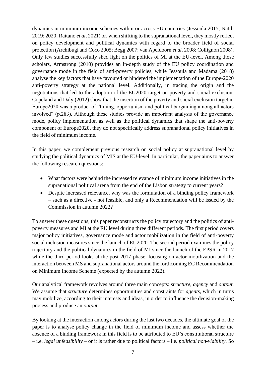dynamics in minimum income schemes within or across EU countries (Jessoula 2015; Natili 2019; 2020; Raitano *et al*. 2021) or, when shifting to the supranational level, they mostly reflect on policy development and political dynamics with regard to the broader field of social protection (Archibugi and Coco 2005; Begg 2007; van Apeldoorn *et al*. 2008; Collignon 2008). Only few studies successfully shed light on the politics of MI at the EU-level. Among those scholars, Armstrong (2010) provides an in-depth study of the EU policy coordination and governance mode in the field of anti-poverty policies, while Jessoula and Madama (2018) analyse the key factors that have favoured or hindered the implementation of the Europe-2020 anti-poverty strategy at the national level. Additionally, in tracing the origin and the negotiations that led to the adoption of the EU2020 target on poverty and social exclusion, Copeland and Daly (2012) show that the insertion of the poverty and social exclusion target in Europe2020 was a product of "timing, opportunism and political bargaining among all actors involved" (p.283). Although these studies provide an important analysis of the governance mode, policy implementation as well as the political dynamics that shape the anti-poverty component of Europe2020, they do not specifically address supranational policy initiatives in the field of minimum income.

In this paper, we complement previous research on social policy at supranational level by studying the political dynamics of MIS at the EU-level. In particular, the paper aims to answer the following research questions:

- What factors were behind the increased relevance of minimum income initiatives in the supranational political arena from the end of the Lisbon strategy to current years?
- Despite increased relevance, why was the formulation of a binding policy framework – such as a directive - not feasible, and only a Recommendation will be issued by the Commission in autumn 2022?

To answer these questions, this paper reconstructs the policy trajectory and the politics of antipoverty measures and MI at the EU level during three different periods. The first period covers major policy initiatives, governance mode and actor mobilization in the field of anti-poverty social inclusion measures since the launch of EU2020. The second period examines the policy trajectory and the political dynamics in the field of MI since the launch of the EPSR in 2017 while the third period looks at the post-2017 phase, focusing on actor mobilization and the interaction between MS and supranational actors around the forthcoming EC Recommendation on Minimum Income Scheme (expected by the autumn 2022).

Our analytical framework revolves around three main concepts: *structure*, *agency* and *output*. We assume that *structure* determines opportunities and constraints for *agents*, which in turns may mobilize, according to their interests and ideas, in order to influence the decision-making process and produce an *output*.

By looking at the interaction among actors during the last two decades, the ultimate goal of the paper is to analyse policy change in the field of minimum income and assess whether the absence of a binding framework in this field is to be attributed to EU's constitutional structure – i.e. *legal unfeasibility* – or it is rather due to political factors – i.e. *political non-viability*. So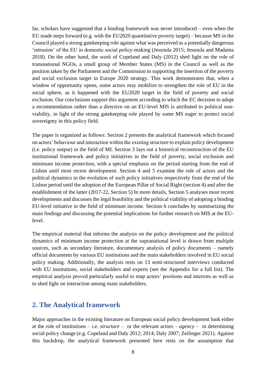far, scholars have suggested that a binding framework was never introduced – even when the EU made steps forward (e.g. with the EU2020 quantitative poverty target) – because MS in the Council played a strong gatekeeping role against what was perceived as a potentially dangerous 'intrusion' of the EU in domestic social policy-making (Jessoula 2015; Jessoula and Madama 2018). On the other hand, the work of Copeland and Daly (2012) shed light on the role of transnational NGOs, a small group of Member States (MS) in the Council as well as the position taken by the Parliament and the Commission in supporting the insertion of the poverty and social exclusion target in Europe 2020 strategy. This work demonstrates that, when a window of opportunity opens, some actors may mobilize to strengthen the role of EU in the social sphere, as it happened with the EU2020 target in the field of poverty and social exclusion. Our conclusions support this argument according to which the EC decision to adopt a recommendation rather than a directive on an EU-level MIS is attributed to political nonviability, in light of the strong gatekeeping role played by some MS eager to protect social sovereignty in this policy field.

The paper is organized as follows: Section 2 presents the analytical framework which focused on actors' behaviour and interaction within the existing structure to explain policy development (i.e. policy output) in the field of MI. Section 3 lays out a historical reconstruction of the EU institutional framework and policy initiatives in the field of poverty, social exclusion and minimum income protection, with a special emphasis on the period starting from the end of Lisbon until most recent development. Section 4 and 5 examine the role of actors and the political dynamics in the evolution of such policy initiatives respectively from the end of the Lisbon period until the adoption of the European Pillar of Social Right (section 4) and after the establishment of the latter (2017-22, Section 5) In more details, Section 5 analyses most recent developments and discusses the legal feasibility and the political viability of adopting a binding EU-level initiative in the field of minimum income. Section 6 concludes by summarizing the main findings and discussing the potential implications for further research on MIS at the EUlevel.

The empirical material that informs the analysis on the policy development and the political dynamics of minimum income protection at the supranational level is drawn from multiple sources, such as secondary literature, documentary analysis of policy documents – namely official documents by various EU institutions and the main stakeholders involved in EU social policy making. Additionally, the analysis rests on 13 semi-structured interviews conducted with EU institutions, social stakeholders and experts (see the Appendix for a full list). The empirical analysis proved particularly useful to map actors' positions and interests as well as to shed light on interaction among main stakeholders.

## <span id="page-7-0"></span>**2. The Analytical framework**

Major approaches in the existing literature on European social policy development look either at the role of institutions – i.e. *structure* – or the relevant actors – *agency* – in determining social policy change (e.g. Copeland and Daly 2012; 2014; Daly 2007; Zeilinger 2021). Against this backdrop, the analytical framework presented here rests on the assumption that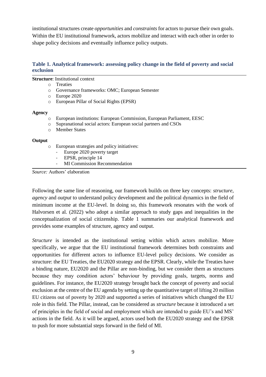institutional structures create *opportunities* and *constraints* for actors to pursue their own goals. Within the EU institutional framework, actors mobilize and interact with each other in order to shape policy decisions and eventually influence policy outputs.

#### **Table 1. Analytical framework: assessing policy change in the field of poverty and social exclusion**

#### **Structure**: Institutional context

- o Treaties
- o Governance frameworks: OMC; European Semester
- o Europe 2020
- o European Pillar of Social Rights (EPSR)

#### **Agency**

- o European institutions: European Commission, European Parliament, EESC
- o Supranational social actors: European social partners and CSOs
- o Member States

#### **Output**

- o European strategies and policy initiatives:
	- Europe 2020 poverty target
	- EPSR, principle 14
	- MI Commission Recommendation

*Source:* Authors' elaboration

Following the same line of reasoning, our framework builds on three key concepts: *structure*, *agency* and *output* to understand policy development and the political dynamics in the field of minimum income at the EU-level. In doing so, this framework resonates with the work of Halvorsen et al. (2022) who adopt a similar approach to study gaps and inequalities in the conceptualization of social citizenship. Table 1 summaries our analytical framework and provides some examples of structure, agency and output.

*Structure* is intended as the institutional setting within which actors mobilize. More specifically, we argue that the EU institutional framework determines both constraints and opportunities for different actors to influence EU-level policy decisions. We consider as structure: the EU Treaties, the EU2020 strategy and the EPSR. Clearly, while the Treaties have a binding nature, EU2020 and the Pillar are non-binding, but we consider them as structures because they may condition actors' behaviour by providing goals, targets, norms and guidelines. For instance, the EU2020 strategy brought back the concept of poverty and social exclusion at the centre of the EU agenda by setting up the quantitative target of lifting 20 million EU citizens out of poverty by 2020 and supported a series of initiatives which changed the EU role in this field. The Pillar, instead, can be considered as *structure* because it introduced a set of principles in the field of social and employment which are intended to guide EU's and MS' actions in the field. As it will be argued, actors used both the EU2020 strategy and the EPSR to push for more substantial steps forward in the field of MI.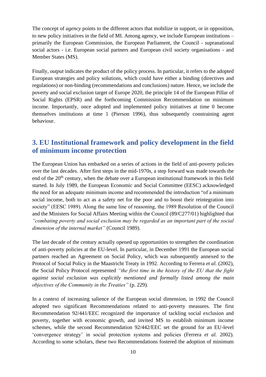The concept of *agency* points to the different actors that mobilize in support, or in opposition, to new policy initiatives in the field of MI. Among agency, we include European institutions – primarily the European Commission, the European Parliament, the Council - supranational social actors - i.e. European social partners and European civil society organisations - and Member States (MS).

Finally, *output* indicates the product of the policy process. In particular, it refers to the adopted European strategies and policy solutions, which could have either a binding (directives and regulations) or non-binding (recommendations and conclusions) nature. Hence, we include the poverty and social exclusion target of Europe 2020, the principle 14 of the European Pillar of Social Rights (EPSR) and the forthcoming Commission Recommendation on minimum income. Importantly, once adopted and implemented policy initiatives at time 0 become themselves institutions at time 1 (Pierson 1996), thus subsequently constraining agent behaviour.

## <span id="page-9-0"></span>**3. EU Institutional framework and policy development in the field of minimum income protection**

The European Union has embarked on a series of actions in the field of anti-poverty policies over the last decades. After first steps in the mid-1970s, a step forward was made towards the end of the 20<sup>th</sup> century, when the debate over a European institutional framework in this field started. In July 1989, the European Economic and Social Committee (EESC) acknowledged the need for an adequate minimum income and recommended the introduction "of a minimum social income, both to act as a safety net for the poor and to boost their reintegration into society" (EESC 1989). Along the same line of reasoning, the 1989 Resolution of the Council and the Ministers for Social Affairs Meeting within the Council (89/C277/01) highlighted that *"combating poverty and social exclusion may be regarded as an important part of the social dimension of the internal market"* (Council 1989).

The last decade of the century actually opened up opportunities to strengthen the coordination of anti-poverty policies at the EU-level. In particular, in December 1991 the European social partners reached an Agreement on Social Policy, which was subsequently annexed to the Protocol of Social Policy in the Maastricht Treaty in 1992. According to Ferrera *et al.* (2002), the Social Policy Protocol represented *"the first time in the history of the EU that the fight against social exclusion was explicitly mentioned and formally listed among the main objectives of the Community in the Treaties"* (p. 229).

In a context of increasing salience of the European social dimension, in 1992 the Council adopted two significant Recommendations related to anti-poverty measures. The first Recommendation 92/441/EEC recognized the importance of tackling social exclusion and poverty, together with economic growth, and invited MS to establish minimum income schemes, while the second Recommendation 92/442/EEC set the ground for an EU-level 'convergence strategy' in social protection systems and policies (Ferrera *et al.* 2002). According to some scholars, these two Recommendations fostered the adoption of minimum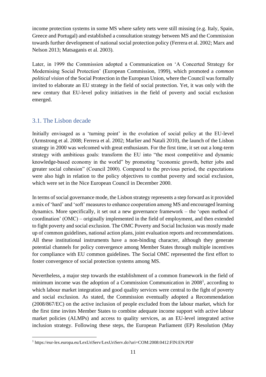income protection systems in some MS where safety nets were still missing (e.g. Italy, Spain, Greece and Portugal) and established a consultation strategy between MS and the Commission towards further development of national social protection policy (Ferrera et al. 2002; Marx and Nelson 2013; Matsaganis et al. 2003).

Later, in 1999 the Commission adopted a Communication on 'A Concerted Strategy for Modernising Social Protection' (European Commission, 1999), which promoted a *common political vision* of the Social Protection in the European Union, where the Council was formally invited to elaborate an EU strategy in the field of social protection. Yet, it was only with the new century that EU-level policy initiatives in the field of poverty and social exclusion emerged.

## <span id="page-10-0"></span>3.1. The Lisbon decade

Initially envisaged as a 'turning point' in the evolution of social policy at the EU-level (Armstrong et al. 2008; Ferrera et al. 2002; Marlier and Natali 2010), the launch of the Lisbon strategy in 2000 was welcomed with great enthusiasm. For the first time, it set out a long-term strategy with ambitious goals: transform the EU into "the most competitive and dynamic knowledge-based economy in the world" by promoting "economic growth, better jobs and greater social cohesion" (Council 2000). Compared to the previous period, the expectations were also high in relation to the policy objectives to combat poverty and social exclusion, which were set in the Nice European Council in December 2000.

In terms of social governance mode, the Lisbon strategy represents a step forward as it provided a mix of 'hard' and 'soft' measures to enhance cooperation among MS and encouraged learning dynamics. More specifically, it set out a new governance framework – the 'open method of coordination' (OMC) – originally implemented in the field of employment, and then extended to fight poverty and social exclusion. The OMC Poverty and Social Inclusion was mostly made up of common guidelines, national action plans, joint evaluation reports and recommendations. All these institutional instruments have a non-binding character, although they generate potential channels for policy convergence among Member States through multiple incentives for compliance with EU common guidelines. The Social OMC represented the first effort to foster convergence of social protection systems among MS.

Nevertheless, a major step towards the establishment of a common framework in the field of minimum income was the adoption of a Commission Communication in 2008<sup>1</sup>, according to which labour market integration and good quality services were central to the fight of poverty and social exclusion. As stated, the Commission eventually adopted a Recommendation (2008/867/EC) on the active inclusion of people excluded from the labour market, which for the first time invites Member States to combine adequate income support with active labour market policies (ALMPs) and access to quality services, as an EU-level integrated active inclusion strategy. Following these steps, the European Parliament (EP) Resolution (May

<sup>1</sup> https://eur-lex.europa.eu/LexUriServ/LexUriServ.do?uri=COM:2008:0412:FIN:EN:PDF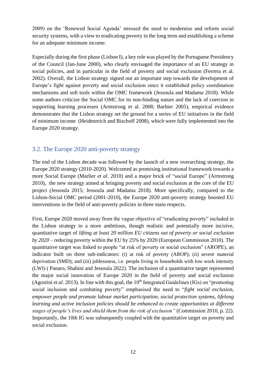2009) on the 'Renewed Social Agenda' stressed the need to modernise and reform social security systems, with a view to eradicating poverty in the long term and establishing a scheme for an adequate minimum income.

Especially during the first phase (Lisbon I), a key role was played by the Portuguese Presidency of the Council (Jan-June 2000), who clearly envisaged the importance of an EU strategy in social policies, and in particular in the field of poverty and social exclusion (Ferrera et al. 2002). Overall, the Lisbon strategy signed out an important step towards the development of Europe's fight against poverty and social exclusion since it established policy coordination mechanisms and soft tools within the OMC framework (Jessoula and Madama 2018). While some authors criticize the Social OMC for its non-binding nature and the lack of coercion in supporting learning processes (Armstrong et al. 2008; Barbier 2005), empirical evidence demonstrates that the Lisbon strategy set the ground for a series of EU initiatives in the field of minimum income (Heidenreich and Bischoff 2008), which were fully implemented into the Europe 2020 strategy.

### <span id="page-11-0"></span>3.2. The Europe 2020 anti-poverty strategy

The end of the Lisbon decade was followed by the launch of a new overarching strategy, the Europe 2020 strategy (2010-2020). Welcomed as promising institutional framework towards a more Social Europe (Marlier *et al*. 2010) and a major brick of "social Europe" (Armstrong 2010), the new strategy aimed at bringing poverty and social exclusion at the core of the EU project (Jessoula 2015; Jessoula and Madama 2018). More specifically, compared to the Lisbon-Social OMC period (2001-2010), the Europe 2020 anti-poverty strategy boosted EU interventions in the field of anti-poverty policies in three main respects.

First, Europe 2020 moved away from the vague objective of "eradicating poverty" included in the Lisbon strategy to a more ambitious, though realistic and potentially more incisive, quantitative target of *lifting at least 20 million EU citizens out of poverty or social exclusion by 2020* – reducing poverty within the EU by 25% by 2020 (European Commission 2010). The quantitative target was linked to people "at risk of poverty or social exclusion" (AROPE), an indicator built on three sub-indicators: (i) at risk of poverty (AROP); (ii) severe material deprivation (SMD); and (iii) joblessness, i.e. people living in households with low work intensity (LWI) ( Panaro, Shahini and Jessoula 2022). The inclusion of a quantitative target represented the major social innovation of Europe 2020 in the field of poverty and social exclusion (Agostini *et al.* 2013). In line with this goal, the  $10<sup>th</sup>$  Integrated Guidelines (IGs) on "promoting social inclusion and combating poverty" emphasised the need to "*fight social exclusion, empower people and promote labour market participation, social protection systems, lifelong learning and active inclusion policies should be enhanced to create opportunities at different stages of people's lives and shield them from the risk of exclusion"* (Commission 2010, p. 22). Importantly, the 10th IG was subsequently coupled with the quantitative target on poverty and social exclusion.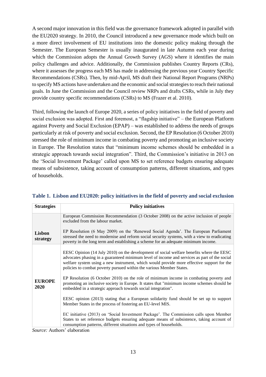A second major innovation in this field was the governance framework adopted in parallel with the EU2020 strategy. In 2010, the Council introduced a new governance mode which built on a more direct involvement of EU institutions into the domestic policy making through the Semester. The European Semester is usually inaugurated in late Autumn each year during which the Commission adopts the Annual Growth Survey (AGS) where it identifies the main policy challenges and advice. Additionally, the Commission publishes Country Reports (CRs), where it assesses the progress each MS has made in addressing the previous year Country Specific Recommendations (CSRs). Then, by mid-April, MS draft their National Report Programs (NRPs) to specify MS actions have undertaken and the economic and social strategies to reach their national goals. In June the Commission and the Council review NRPs and drafts CSRs, while in July they provide country specific recommendations (CSRs) to MS (Frazer et al. 2010).

Third, following the launch of Europe 2020, a series of policy initiatives in the field of poverty and social exclusion was adopted. First and foremost, a "flagship initiative" – the European Platform against Poverty and Social Exclusion (EPAP) – was established to address the needs of groups particularly at risk of poverty and social exclusion. Second, the EP Resolution (6 October 2010) stressed the role of minimum income in combating poverty and promoting an inclusive society in Europe. The Resolution states that "minimum income schemes should be embedded in a strategic approach towards social integration". Third, the Commission's initiative in 2013 on the 'Social Investment Package' called upon MS to set reference budgets ensuring adequate means of subsistence, taking account of consumption patterns, different situations, and types of households.

| <b>Strategies</b>     | <b>Policy initiatives</b>                                                                                                                                                                                                                                                                                                                                     |  |  |  |
|-----------------------|---------------------------------------------------------------------------------------------------------------------------------------------------------------------------------------------------------------------------------------------------------------------------------------------------------------------------------------------------------------|--|--|--|
|                       | European Commission Recommendation (3 October 2008) on the active inclusion of people<br>excluded from the labour market.                                                                                                                                                                                                                                     |  |  |  |
| Lisbon<br>strategy    | EP Resolution (6 May 2009) on the 'Renewed Social Agenda'. The European Parliament<br>stressed the need to modernise and reform social security systems, with a view to eradicating<br>poverty in the long term and establishing a scheme for an adequate minimum income.                                                                                     |  |  |  |
|                       | EESC Opinion (14 July 2010) on the development of social welfare benefits where the EESC<br>advocates phasing in a guaranteed minimum level of income and services as part of the social<br>welfare system using a new instrument, which would provide more effective support for the<br>policies to combat poverty pursued within the various Member States. |  |  |  |
| <b>EUROPE</b><br>2020 | EP Resolution (6 October 2010) on the role of minimum income in combating poverty and<br>promoting an inclusive society in Europe. It states that "minimum income schemes should be<br>embedded in a strategic approach towards social integration".                                                                                                          |  |  |  |
|                       | EESC opinion (2013) stating that a European solidarity fund should be set up to support<br>Member States in the process of fostering an EU-level MIS.                                                                                                                                                                                                         |  |  |  |
|                       | EC initiative (2013) on 'Social Investment Package'. The Commission calls upon Member<br>States to set reference budgets ensuring adequate means of subsistence, taking account of<br>consumption patterns, different situations and types of households.                                                                                                     |  |  |  |

<span id="page-12-0"></span>

|  |  | Table 1. Lisbon and EU2020: policy initiatives in the field of poverty and social exclusion |
|--|--|---------------------------------------------------------------------------------------------|
|--|--|---------------------------------------------------------------------------------------------|

*Source:* Authors' elaboration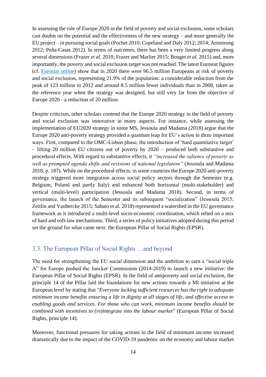In assessing the role of Europe 2020 in the field of poverty and social exclusion, some scholars cast doubts on the potential and the effectiveness of the new strategy – and more generally the EU project – in pursuing social goals (Pochet 2010; Copeland and Daly 2012; 2014; Armstrong 2012; Peña-Casas 2012). In terms of *outcomes*, there has been a very limited progress along several dimensions (Frazer *et al.* 2010; Frazer and Marlier 2015; Bouget *et al.* 2015) and, more importantly, the poverty and social exclusion target was not reached. The latest Eurostat figures (cf. [Eurostat online\)](https://ec.europa.eu/eurostat/web/products-eurostat-news/-/edn-20211015-1) show that in 2020 there were 96.5 million Europeans at risk of poverty and social exclusion, representing 21.9% of the population: a considerable reduction from the peak of 123 million in 2012 and around 8.5 million fewer individuals than in 2008, taken as the reference year when the strategy was designed, but still very far from the objective of Europe 2020 - a reduction of 20 million.

Despite criticism, other scholars contend that the Europe 2020 strategy in the field of poverty and social exclusion was innovative in many aspects. For instance, while assessing the implementation of EU2020 strategy in some MS, Jessoula and Madama (2018) argue that the Europe 2020 anti-poverty strategy provided a quantum leap for EU's action in three important ways. First, compared to the OMC-Lisbon phase, the introduction of 'hard quantitative target' – lifting 20 million EU citizens out of poverty by 2020 – produced both substantive and procedural effects. With regard to substantive effects, it *"increased the salience of poverty as well as prompted agenda shifts and revisions of national legislation"* (Jessoula and Madama 2018, p. 187). While on the procedural effects, in some countries the Europe 2020 anti-poverty strategy triggered more integration across social policy sectors through the Semester (e.g. Belgium, Poland and partly Italy) and enhanced both horizontal (multi-stakeholder) and vertical (multi-level) participation (Jessoula and Madama 2018). Second, in terms of governance, the launch of the Semester and its subsequent "socialization" (Jessoula 2015; Zeitlin and Vanhercke 2015; Sabato et al. 2018) represented a watershed in the EU governance framework as it introduced a multi-level socio-economic coordination, which relied on a mix of hard and soft-law mechanisms. Third, a series of policy initiatives adopted during this period set the ground for what came next: the European Pillar of Social Rights (EPSR).

#### <span id="page-13-0"></span>3.3. The European Pillar of Social Rights …and beyond

The need for strengthening the EU social dimension and the ambition to earn a "social triple A" for Europe pushed the Juncker Commission (2014-2019) to launch a new *initiative*: the European Pillar of Social Rights (EPSR). In the field of antipoverty and social exclusion, the principle 14 of the Pillar laid the foundations for new actions towards a MI initiative at the European level by stating that "*Everyone lacking sufficient resources has the right to adequate minimum income benefits ensuring a life in dignity at all stages of life, and effective access to enabling goods and services. For those who can work, minimum income benefits should be combined with incentives to (re)integrate into the labour market*" (European Pillar of Social Rights, principle 14).

Moreover, functional pressures for taking actions in the field of minimum income increased dramatically due to the impact of the COVID-19 pandemic on the economy and labour market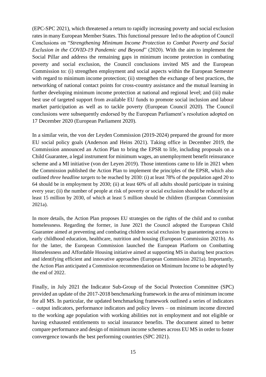(EPC-SPC 2021), which threatened a return to rapidly increasing poverty and social exclusion rates in many European Member States. This functional pressure led to the adoption of Council Conclusions on "*Strengthening Minimum Income Protection to Combat Poverty and Social Exclusion in the COVID-19 Pandemic and Beyond*" (2020). With the aim to implement the Social Pillar and address the remaining gaps in minimum income protection in combating poverty and social exclusion, the Council conclusions invited MS and the European Commission to: (i) strengthen employment and social aspects within the European Semester with regard to minimum income protection; (ii) strengthen the exchange of best practices, the networking of national contact points for cross-country assistance and the mutual learning in further developing minimum income protection at national and regional level; and (iii) make best use of targeted support from available EU funds to promote social inclusion and labour market participation as well as to tackle poverty (European Council 2020). The Council conclusions were subsequently endorsed by the European Parliament's resolution adopted on 17 December 2020 (European Parliament 2020).

In a similar vein, the von der Leyden Commission (2019-2024) prepared the ground for more EU social policy goals (Anderson and Heins 2021). Taking office in December 2019, the Commission announced an Action Plan to bring the EPSR to life, including proposals on a Child Guarantee, a legal instrument for minimum wages, an unemployment benefit reinsurance scheme and a MI initiative (von der Leyen 2019). Those intentions came to life in 2021 when the Commission published the Action Plan to implement the principles of the EPSR, which also outlined *three headline targets* to be reached by 2030: (i) at least 78% of the population aged 20 to 64 should be in employment by 2030; (ii) at least 60% of all adults should participate in training every year; (ii) the number of people at risk of poverty or social exclusion should be reduced by at least 15 million by 2030, of which at least 5 million should be children (European Commission 2021a).

In more details, the Action Plan proposes EU strategies on the rights of the child and to combat homelessness. Regarding the former, in June 2021 the Council adopted the European Child Guarantee aimed at preventing and combating children social exclusion by guaranteeing access to early childhood education, healthcare, nutrition and housing (European Commission 2021b). As for the latter, the European Commission launched the European Platform on Combatting Homelessness and Affordable Housing initiative aimed at supporting MS in sharing best practices and identifying efficient and innovative approaches (European Commission 2021a). Importantly, the Action Plan anticipated a Commission recommendation on Minimum Income to be adopted by the end of 2022.

Finally, in July 2021 the Indicator Sub-Group of the Social Protection Committee (SPC) provided an update of the 2017-2018 benchmarking framework in the area of minimum income for all MS. In particular, the updated benchmarking framework outlined a series of indicators – output indicators, performance indicators and policy levers – on minimum income directed to the working age population with working abilities not in employment and not eligible or having exhausted entitlements to social insurance benefits. The document aimed to better compare performance and design of minimum income schemes across EU MS in order to foster convergence towards the best performing countries (SPC 2021).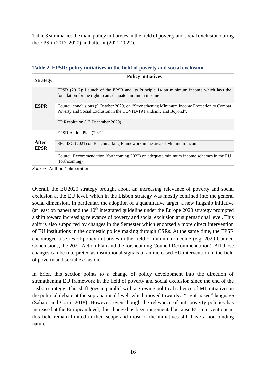<span id="page-15-0"></span>Table 3 summaries the main policy initiatives in the field of poverty and social exclusion during the EPSR (2017-2020) and after it (2021-2022).

| <b>Strategy</b>      | <b>Policy initiatives</b>                                                                                                                                        |  |  |  |
|----------------------|------------------------------------------------------------------------------------------------------------------------------------------------------------------|--|--|--|
|                      | EPSR (2017): Launch of the EPSR and its Principle 14 on minimum income which lays the<br>foundation for the right to an adequate minimum income                  |  |  |  |
| <b>ESPR</b>          | Council conclusions (9 October 2020) on "Strengthening Minimum Income Protection to Combat<br>Poverty and Social Exclusion in the COVID-19 Pandemic and Beyond". |  |  |  |
|                      | EP Resolution (17 December 2020)                                                                                                                                 |  |  |  |
|                      | EPSR Action Plan (2021)                                                                                                                                          |  |  |  |
| After<br><b>EPSR</b> | SPC ISG (2021) on Benchmarking Framework in the area of Minimum Income                                                                                           |  |  |  |
|                      | Council Recommendation (forthcoming 2022) on adequate minimum income schemes in the EU<br>(forthcoming)                                                          |  |  |  |

| Table 2. EPSR: policy initiatives in the field of poverty and social exclusion |  |  |  |
|--------------------------------------------------------------------------------|--|--|--|
|                                                                                |  |  |  |

*Source:* Authors' elaboration

Overall, the EU2020 strategy brought about an increasing relevance of poverty and social exclusion at the EU level, which in the Lisbon strategy was mostly confined into the general social dimension. In particular, the adoption of a quantitative target, a new flagship initiative (at least on paper) and the  $10<sup>th</sup>$  integrated guideline under the Europe 2020 strategy prompted a shift toward increasing relevance of poverty and social exclusion at supernational level. This shift is also supported by changes in the Semester which endorsed a more direct intervention of EU institutions in the domestic policy making through CSRs. At the same time, the EPSR encouraged a series of policy initiatives in the field of minimum income (e.g. 2020 Council Conclusions, the 2021 Action Plan and the forthcoming Council Recommendation). All those changes can be interpreted as institutional signals of an increased EU intervention in the field of poverty and social exclusion.

In brief, this section points to a change of policy development into the direction of strengthening EU framework in the field of poverty and social exclusion since the end of the Lisbon strategy. This shift goes in parallel with a growing political salience of MI initiatives in the political debate at the supranational level, which moved towards a "right-based" language (Sabato and Corti, 2018). However, even though the relevance of anti-poverty policies has increased at the European level, this change has been incremental because EU interventions in this field remain limited in their scope and most of the initiatives still have a non-binding nature.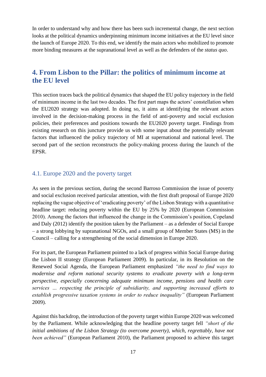In order to understand why and how there has been such incremental change, the next section looks at the political dynamics underpinning minimum income initiatives at the EU level since the launch of Europe 2020. To this end, we identify the main actors who mobilized to promote more binding measures at the supranational level as well as the defenders of the *status quo*.

## <span id="page-16-0"></span>**4. From Lisbon to the Pillar: the politics of minimum income at the EU level**

This section traces back the political dynamics that shaped the EU policy trajectory in the field of minimum income in the last two decades. The first part maps the actors' constellation when the EU2020 strategy was adopted. In doing so, it aims at identifying the relevant actors involved in the decision-making process in the field of anti-poverty and social exclusion policies, their preferences and positions towards the EU2020 poverty target. Findings from existing research on this juncture provide us with some input about the potentially relevant factors that influenced the policy trajectory of MI at supernational and national level. The second part of the section reconstructs the policy-making process during the launch of the EPSR.

#### <span id="page-16-1"></span>4.1. Europe 2020 and the poverty target

As seen in the previous section, during the second Barroso Commission the issue of poverty and social exclusion received particular attention, with the first draft proposal of Europe 2020 replacing the vague objective of 'eradicating poverty' of the Lisbon Strategy with a quantitative headline target: reducing poverty within the EU by 25% by 2020 (European Commission 2010). Among the factors that influenced the change in the Commission's position, Copeland and Daly (2012) identify the position taken by the Parliament – as a defender of Social Europe – a strong lobbying by supranational NGOs, and a small group of Member States (MS) in the Council – calling for a strengthening of the social dimension in Europe 2020.

For its part, the European Parliament pointed to a lack of progress within Social Europe during the Lisbon II strategy (European Parliament 2009). In particular, in its Resolution on the Renewed Social Agenda, the European Parliament emphasized *"the need to find ways to modernise and reform national security systems to eradicate poverty with a long-term perspective, especially concerning adequate minimum income, pensions and health care services … respecting the principle of subsidiarity, and supporting increased efforts to establish progressive taxation systems in order to reduce inequality"* (European Parliament 2009).

Against this backdrop, the introduction of the poverty target within Europe 2020 was welcomed by the Parliament. While acknowledging that the headline poverty target fell *"short of the initial ambitions of the Lisbon Strategy (to overcome poverty), which, regrettably, have not been achieved"* (European Parliament 2010), the Parliament proposed to achieve this target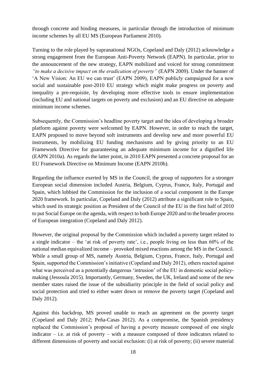through concrete and binding measures, in particular through the introduction of minimum income schemes by all EU MS (European Parliament 2010).

Turning to the role played by supranational NGOs, Copeland and Daly (2012) acknowledge a strong engagement from the European Anti-Poverty Network (EAPN). In particular, prior to the announcement of the new strategy, EAPN mobilized and voiced for strong commitment *"to make a decisive impact on the eradication of poverty"* (EAPN 2009). Under the banner of 'A New Vision: An EU we can trust' (EAPN 2009), EAPN publicly campaigned for a new social and sustainable post-2010 EU strategy which might make progress on poverty and inequality a pre-requisite, by developing more effective tools to ensure implementation (including EU and national targets on poverty and exclusion) and an EU directive on adequate minimum income schemes.

Subsequently, the Commission's headline poverty target and the idea of developing a broader platform against poverty were welcomed by EAPN. However, in order to reach the target, EAPN proposed to move beyond soft instruments and develop new and more powerful EU instruments, by mobilizing EU funding mechanisms and by giving priority to an EU Framework Directive for guaranteeing an adequate minimum income for a dignified life (EAPN 2010a). As regards the latter point, in 2010 EAPN presented a concrete proposal for an EU Framework Directive on Minimum Income (EAPN 2010b).

Regarding the influence exerted by MS in the Council, the group of supporters for a stronger European social dimension included Austria, Belgium, Cyprus, France, Italy, Portugal and Spain, which lobbied the Commission for the inclusion of a social component in the Europe 2020 framework. In particular, Copeland and Daly (2012) attribute a significant role to Spain, which used its strategic position as President of the Council of the EU in the first half of 2010 to put Social Europe on the agenda, with respect to both Europe 2020 and to the broader process of European integration (Copeland and Daly 2012).

However, the original proposal by the Commission which included a poverty target related to a single indicator – the 'at risk of poverty rate', i.e., people living on less than 60% of the national median equivalized income – provoked mixed reactions among the MS in the Council. While a small group of MS, namely Austria, Belgium, Cyprus, France, Italy, Portugal and Spain, supported the Commission's initiative (Copeland and Daly 2012), others reacted against what was perceived as a potentially dangerous 'intrusion' of the EU in domestic social policymaking (Jessoula 2015). Importantly, Germany, Sweden, the UK, Ireland and some of the new member states raised the issue of the subsidiarity principle in the field of social policy and social protection and tried to either water down or remove the poverty target (Copeland and Daly 2012).

Against this backdrop, MS proved unable to reach an agreement on the poverty target (Copeland and Daly 2012; Peña-Casas 2012). As a compromise, the Spanish presidency replaced the Commission's proposal of having a poverty measure composed of one single indicator – i.e. at risk of poverty – with a measure composed of three indicators related to different dimensions of poverty and social exclusion: (i) at risk of poverty; (ii) severe material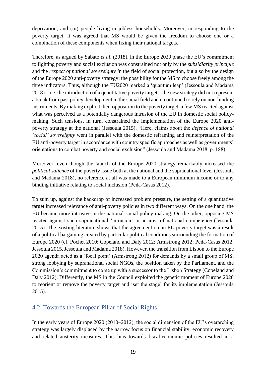deprivation; and (iii) people living in jobless households. Moreover, in responding to the poverty target, it was agreed that MS would be given the freedom to choose one or a combination of these components when fixing their national targets.

Therefore, as argued by Sabato *et al*. (2018), in the Europe 2020 phase the EU's commitment to fighting poverty and social exclusion was constrained not only by the *subsidiarity principle* and the *respect of national sovereignty i*n the field of social protection, but also by the design of the Europe 2020 anti-poverty strategy: the possibility for the MS to choose freely among the three indicators. Thus, although the EU2020 marked a 'quantum leap' (Jessoula and Madama  $2018$  – i.e. the introduction of a quantitative poverty target – the new strategy did not represent a break from past policy development in the social field and it continued to rely on non-binding instruments. By making explicit their opposition to the poverty target, a few MS reacted against what was perceived as a potentially dangerous intrusion of the EU in domestic social policymaking. Such tensions, in turn, constrained the implementation of the Europe 2020 antipoverty strategy at the national (Jessoula 2015). "Here, claims about the *defence of national 'social' sovereignty* went in parallel with the domestic reframing and reinterpretation of the EU anti-poverty target in accordance with country specific approaches as well as governments' orientations to combat poverty and social exclusion" (Jessoula and Madama 2018, p. 188).

Moreover, even though the launch of the Europe 2020 strategy remarkably increased the *political salience* of the poverty issue both at the national and the supranational level (Jessoula and Madama 2018), no reference at all was made to a European minimum income or to any binding initiative relating to social inclusion (Peña-Casas 2012).

To sum up, against the backdrop of increased problem pressure, the setting of a quantitative target increased relevance of anti-poverty policies in two different ways. On the one hand, the EU became more intrusive in the national social policy-making. On the other, opposing MS reacted against such supranational 'intrusion' in an area of national competence (Jessoula 2015). The existing literature shows that the agreement on an EU poverty target was a result of a political bargaining created by particular political conditions surrounding the formation of Europe 2020 (cf. Pochet 2010; Copeland and Daly 2012; Armstrong 2012; Peña-Casas 2012; Jessoula 2015, Jessoula and Madama 2018). However, the transition from Lisbon to the Europe 2020 agenda acted as a 'focal point' (Armstrong 2012) for demands by a small group of MS, strong lobbying by supranational social NGOs, the position taken by the Parliament, and the Commission's commitment to come up with a successor to the Lisbon Strategy (Copeland and Daly 2012). Differently, the MS in the Council exploited the genetic moment of Europe 2020 to reorient or remove the poverty target and 'set the stage' for its implementation (Jessoula 2015).

### <span id="page-18-0"></span>4.2. Towards the European Pillar of Social Rights

In the early years of Europe 2020 (2010–2012), the social dimension of the EU's overarching strategy was largely displaced by the narrow focus on financial stability, economic recovery and related austerity measures. This bias towards fiscal-economic policies resulted in a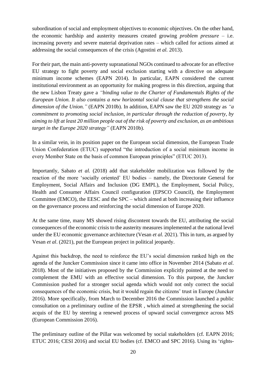subordination of social and employment objectives to economic objectives. On the other hand, the economic hardship and austerity measures created growing *problem pressure* – i.e. increasing poverty and severe material deprivation rates – which called for actions aimed at addressing the social consequences of the crisis (Agostini *et al.* 2013).

For their part, the main anti-poverty supranational NGOs continued to advocate for an effective EU strategy to fight poverty and social exclusion starting with a directive on adequate minimum income schemes (EAPN 2014). In particular, EAPN considered the current institutional environment as an opportunity for making progress in this direction, arguing that the new Lisbon Treaty gave a *"binding value to the Charter of Fundamentals Rights of the European Union. It also contains a new horizontal social clause that strengthens the social dimension of the Union."* (EAPN 2010b). In addition, EAPN saw the EU 2020 strategy as *"a commitment to promoting social inclusion, in particular through the reduction of poverty, by aiming to lift at least 20 million people out of the risk of poverty and exclusion, as an ambitious target in the Europe 2020 strategy"* (EAPN 2010b).

In a similar vein, in its position paper on the European social dimension, the European Trade Union Confederation (ETUC) supported "the introduction of a social minimum income in every Member State on the basis of common European principles" (ETUC 2013).

Importantly, Sabato *et al.* (2018) add that stakeholder mobilization was followed by the reaction of the more 'socially oriented' EU bodies – namely, the Directorate General for Employment, Social Affairs and Inclusion (DG EMPL), the Employment, Social Policy, Health and Consumer Affairs Council configuration (EPSCO Council), the Employment Committee (EMCO), the EESC and the SPC – which aimed at both increasing their influence on the governance process and reinforcing the social dimension of Europe 2020.

At the same time, many MS showed rising discontent towards the EU, attributing the social consequences of the economic crisis to the austerity measures implemented at the national level under the EU economic governance architecture (Vesan *et al*. 2021). This in turn, as argued by Vesan *et al*. (2021), put the European project in political jeopardy.

Against this backdrop, the need to reinforce the EU's social dimension ranked high on the agenda of the Juncker Commission since it came into office in November 2014 (Sabato *et al*. 2018). Most of the initiatives proposed by the Commission explicitly pointed at the need to complement the EMU with an effective social dimension. To this purpose, the Juncker Commission pushed for a stronger social agenda which would not only correct the social consequences of the economic crisis, but it would regain the citizens' trust in Europe (Juncker 2016). More specifically, from March to December 2016 the Commission launched a public consultation on a preliminary outline of the EPSR , which aimed at strengthening the social acquis of the EU by steering a renewed process of upward social convergence across MS (European Commission 2016).

The preliminary outline of the Pillar was welcomed by social stakeholders (cf. EAPN 2016; ETUC 2016; CESI 2016) and social EU bodies (cf. EMCO and SPC 2016). Using its 'rights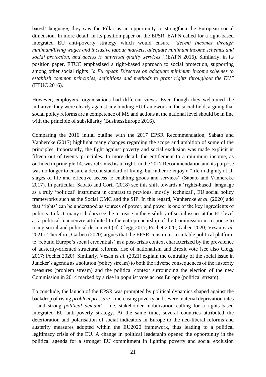based' language, they saw the Pillar as an opportunity to strengthen the European social dimension. In more detail, in its position paper on the EPSR, EAPN called for a right-based integrated EU anti-poverty strategy which would ensure *"decent incomes through minimum/living wages and inclusive labour markets, adequate minimum income schemes and social protection, and access to universal quality services"* (EAPN 2016). Similarly, in its position paper, ETUC emphasized a right-based approach to social protection, supporting among other social rights *"a European Directive on adequate minimum income schemes to establish common principles, definitions and methods to grant rights throughout the EU"* (ETUC 2016).

However, employers' organisations had different views. Even though they welcomed the initiative, they were clearly against any binding EU framework in the social field, arguing that social policy reforms are a competence of MS and actions at the national level should be in line with the principle of subsidiarity (BusinessEurope 2016).

Comparing the 2016 initial outline with the 2017 EPSR Recommendation, Sabato and Vanhercke (2017) highlight many changes regarding the scope and ambition of some of the principles. Importantly, the fight against poverty and social exclusion was made explicit in fifteen out of twenty principles. In more detail, the entitlement to a minimum income, as outlined in principle 14, was reframed as a 'right' in the 2017 Recommendation and its purpose was no longer to ensure a decent standard of living, but rather to enjoy a "life in dignity at all stages of life and effective access to enabling goods and services" (Sabato and Vanhercke 2017). In particular, Sabato and Corti (2018) see this shift towards a 'rights-based' language as a truly 'political' instrument in contrast to previous, mostly 'technical', EU social policy frameworks such as the Social OMC and the SIP. In this regard, Vanhercke *et al.* (2020) add that 'rights' can be understood as sources of power, and power is one of the key ingredients of politics. In fact, many scholars see the increase in the visibility of social issues at the EU level as a political manoeuvre attributed to the entrepreneurship of the Commission in response to rising social and political discontent (cf. Clegg 2017; Pochet 2020; Gaben 2020; Vesan *et al*. 2021). Therefore, Garben (2020) argues that the EPSR constitutes a suitable political platform to 'rebuild Europe's social credentials' in a post-crisis context characterized by the prevalence of austerity-oriented structural reforms, rise of nationalism and Brexit vote (see also Clegg 2017; Pochet 2020). Similarly, Vesan *et al*. (2021) explain the centrality of the social issue in Juncker's agenda as a solution (policy stream) to both the adverse consequences of the austerity measures (problem stream) and the political context surrounding the election of the new Commission in 2014 marked by a rise in populist vote across Europe (political stream).

To conclude, the launch of the EPSR was prompted by political dynamics shaped against the backdrop of rising *problem pressure* – increasing poverty and severe material deprivation rates – and strong *political demand* – i.e. stakeholder mobilization calling for a rights-based integrated EU anti-poverty strategy. At the same time, several countries attributed the deterioration and polarisation of social indicators in Europe to the neo-liberal reforms and austerity measures adopted within the EU2020 framework, thus leading to a political legitimacy crisis of the EU. A change in political leadership opened the opportunity in the political agenda for a stronger EU commitment in fighting poverty and social exclusion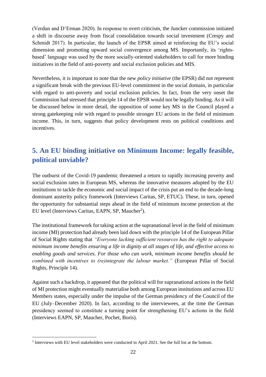(Verdun and D'Erman 2020). In response to overt criticism, the Juncker commission initiated a shift in discourse away from fiscal consolidation towards social investment (Crespy and Schmidt 2017). In particular, the launch of the EPSR aimed at reinforcing the EU's social dimension and promoting upward social convergence among MS. Importantly, its 'rightsbased' language was used by the more socially-oriented stakeholders to call for more binding initiatives in the field of anti-poverty and social exclusion policies and MIS.

Nevertheless, it is important to note that the new *policy initiative* (the EPSR) did not represent a significant break with the previous EU-level commitment in the social domain, in particular with regard to anti-poverty and social exclusion policies. In fact, from the very onset the Commission had stressed that principle 14 of the EPSR would not be legally binding. As it will be discussed below in more detail, the opposition of some key MS in the Council played a strong gatekeeping role with regard to possible stronger EU actions in the field of minimum income. This, in turn, suggests that policy development rests on political conditions and incentives.

# <span id="page-21-0"></span>**5. An EU binding initiative on Minimum Income: legally feasible, political unviable?**

The outburst of the Covid-19 pandemic threatened a return to rapidly increasing poverty and social exclusion rates in European MS, whereas the innovative measures adopted by the EU institutions to tackle the economic and social impact of the crisis put an end to the decade-long dominant austerity policy framework (Interviews Caritas, SP, ETUC). These, in turn, opened the opportunity for substantial steps ahead in the field of minimum income protection at the EU level (Interviews Caritas, EAPN, SP, Maucher<sup>2</sup>).

The institutional framework for taking action at the supranational level in the field of minimum income (MI) protection had already been laid down with the principle 14 of the European Pillar of Social Rights stating that *"Everyone lacking sufficient resources has the right to adequate minimum income benefits ensuring a life in dignity at all stages of life, and effective access to enabling goods and services. For those who can work, minimum income benefits should be combined with incentives to (re)integrate the labour market."* (European Pillar of Social Rights, Principle 14).

Against such a backdrop, it appeared that the political will for supranational actions in the field of MI protection might eventually materialise both among European institutions and across EU Members states, especially under the impulse of the German presidency of the Council of the EU (July–December 2020). In fact, according to the interviewees, at the time the German presidency seemed to constitute a turning point for strengthening EU's actions in the field (Interviews EAPN, SP, Maucher, Pochet, Boris).

<sup>&</sup>lt;sup>2</sup> Interviews with EU level stakeholders were conducted in April 2021. See the full list at the bottom.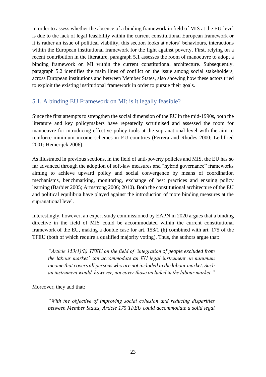In order to assess whether the absence of a binding framework in field of MIS at the EU-level is due to the lack of legal feasibility within the current constitutional European framework or it is rather an issue of political viability, this section looks at actors' behaviours, interactions within the European institutional framework for the fight against poverty. First, relying on a recent contribution in the literature, paragraph 5.1 assesses the room of manoeuvre to adopt a binding framework on MI within the current constitutional architecture. Subsequently, paragraph 5.2 identifies the main lines of conflict on the issue among social stakeholders, across European institutions and between Member States, also showing how these actors tried to exploit the existing institutional framework in order to pursue their goals.

### <span id="page-22-0"></span>5.1. A binding EU Framework on MI: is it legally feasible?

Since the first attempts to strengthen the social dimension of the EU in the mid-1990s, both the literature and key policymakers have repeatedly scrutinised and assessed the room for manoeuvre for introducing effective policy tools at the supranational level with the aim to reinforce minimum income schemes in EU countries (Ferrera and Rhodes 2000; Leibfried 2001; Hemerijck 2006).

As illustrated in previous sections, in the field of anti-poverty policies and MIS, the EU has so far advanced through the adoption of soft-law measures and "hybrid governance" frameworks aiming to achieve upward policy and social convergence by means of coordination mechanisms, benchmarking, monitoring, exchange of best practices and ensuing policy learning (Barbier 2005; Armstrong 2006; 2010). Both the constitutional architecture of the EU and political equilibria have played against the introduction of more binding measures at the supranational level.

Interestingly, however, an expert study commissioned by EAPN in 2020 argues that a binding directive in the field of MIS could be accommodated within the current constitutional framework of the EU, making a double case for art. 153/1 (h) combined with art. 175 of the TFEU (both of which require a qualified majority voting). Thus, the authors argue that:

*"Article 153(1)(h) TFEU on the field of 'integration of people excluded from the labour market' can accommodate an EU legal instrument on minimum income that covers all persons who are not included in the labour market. Such an instrument would, however, not cover those included in the labour market."*

Moreover, they add that:

*"With the objective of improving social cohesion and reducing disparities between Member States, Article 175 TFEU could accommodate a solid legal*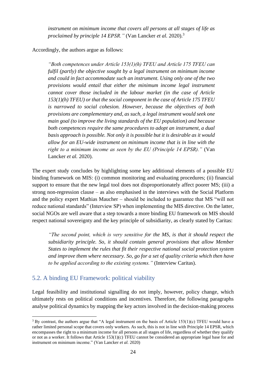*instrument on minimum income that covers all persons at all stages of life as proclaimed by principle 14 EPSR."* (Van Lancker *et al.* 2020).<sup>3</sup>

Accordingly, the authors argue as follows:

*"Both competences under Article 153(1)(h) TFEU and Article 175 TFEU can fulfil (partly) the objective sought by a legal instrument on minimum income and could in fact accommodate such an instrument. Using only one of the two provisions would entail that either the minimum income legal instrument cannot cover those included in the labour market (in the case of Article 153(1)(h) TFEU) or that the social component in the case of Article 175 TFEU is narrowed to social cohesion. However, because the objectives of both provisions are complementary and, as such, a legal instrument would seek one main goal (to improve the living standards of the EU population) and because both competences require the same procedures to adopt an instrument, a dual basis approach is possible. Not only it is possible but it is desirable as it would allow for an EU-wide instrument on minimum income that is in line with the right to a minimum income as seen by the EU (Principle 14 EPSR)."* (Van Lancker *et al.* 2020).

The expert study concludes by highlighting some key additional elements of a possible EU binding framework on MIS: (i) common monitoring and evaluating procedures; (ii) financial support to ensure that the new legal tool does not disproportionately affect poorer MS; (iii) a strong non-regression clause – as also emphasised in the interviews with the Social Platform and the policy expert Mathias Maucher – should be included to guarantee that MS "will not reduce national standards" (Interview SP) when implementing the MIS directive. On the latter, social NGOs are well aware that a step towards a more binding EU framework on MIS should respect national sovereignty and the key principle of subsidiarity, as clearly stated by Caritas:

*"The second point, which is very sensitive for the MS, is that it should respect the subsidiarity principle. So, it should contain general provisions that allow Member States to implement the rules that fit their respective national social protection system and improve them where necessary. So, go for a set of quality criteria which then have to be applied according to the existing systems."* (Interview Caritas).

## <span id="page-23-0"></span>5.2. A binding EU Framework: political viability

Legal feasibility and institutional signalling do not imply, however, policy change, which ultimately rests on political conditions and incentives. Therefore, the following paragraphs analyse political dynamics by mapping the key actors involved in the decision-making process

 $3$  By contrast, the authors argue that "A legal instrument on the basis of Article 153(1)(c) TFEU would have a rather limited personal scope that covers only workers. As such, this is not in line with Principle 14 EPSR, which encompasses the right to a minimum income for all persons at all stages of life, regardless of whether they qualify or not as a worker. It follows that Article 153(1)(c) TFEU cannot be considered an appropriate legal base for and instrument on minimum income." (Van Lancker *et al.* 2020)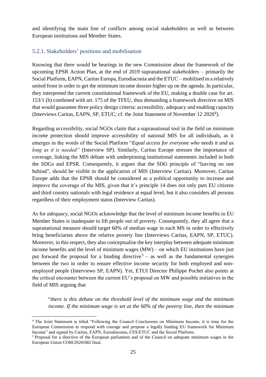and identifying the main line of conflicts among social stakeholders as well as between European institutions and Member States.

#### <span id="page-24-0"></span>5.2.1. Stakeholders' positions and mobilisation

Knowing that there would be hearings in the new Commission about the framework of the upcoming EPSR Action Plan, at the end of 2019 supranational stakeholders – primarily the Social Platform, EAPN, Caritas Europa, Eurodiaconia and the ETUC – mobilised in a relatively united front in order to get the minimum income dossier higher up on the agenda. In particular, they interpreted the current constitutional framework of the EU, making a double case for art. 153/1 (h) combined with art. 175 of the TFEU, thus demanding a framework directive on MIS that would guarantee three policy design criteria: accessibility, adequacy and enabling capacity (Interviews Caritas, EAPN, SP, ETUC; cf. the Joint Statement of November 12 2020<sup>4</sup>).

Regarding *accessibility*, social NGOs claim that a supranational tool in the field on minimum income protection should improve accessibility of national MIS for all individuals, as it emerges in the words of the Social Platform "*Equal access for everyone who needs it and as long as it is needed"* (Interview SP). Similarly, Caritas Europe stresses the importance of coverage, linking the MIS debate with underpinning institutional statements included in both the SDGs and EPSR. Consequently, it argues that the SDG principle of "leaving no one behind", should be visible in the application of MIS (Interview Caritas). Moreover, Caritas Europe adds that the EPSR should be considered as a political opportunity to increase and improve the coverage of the MIS, given that it's principle 14 does not only puts EU citizens and third country nationals with legal residence at equal level, but it also considers all persons regardless of their employment status (Interview Caritas).

As for *adequacy*, social NGOs acknowledge that the level of minimum income benefits in EU Member States is inadequate to lift people out of poverty. Consequently, they all agree that a supranational measure should target 60% of median wage in each MS in order to effectively bring beneficiaries above the relative poverty line (Interviews Caritas, EAPN, SP, ETUC). Moreover, in this respect, they also conceptualise the key interplay between adequate minimum income benefits and the level of minimum wages (MW) – on which EU institutions have just put forward the proposal for a binding directive<sup>5</sup>  $-$  as well as the fundamental synergies between the two in order to ensure effective income security for both employed and nonemployed people (Interviews SP, EAPN). Yet, ETUI Director Philippe Pochet also points at the critical encounter between the current EU's proposal on MW and possible initiatives in the field of MIS arguing that

"*there is this debate on the threshold level of the minimum wage and the minimum income. If the minimum wage is set at the 60% of the poverty line, then the minimum* 

<sup>4</sup> The Joint Statement is titled "Following the Council Conclusions on Minimum Income, it is time for the European Commission to respond with courage and propose a legally binding EU framework for Minimum Income" and signed by Caritas, EAPN, Eurodiaconia, CES/ETUC and the Social Platform.

<sup>5</sup> Proposal for a directive of the European parliament and of the Council on adequate minimum wages in the European Union COM/2020/682 final.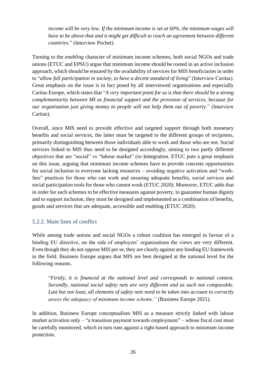*income will be very low. If the minimum income is set at 60%, the minimum wages will have to be above that and it might get difficult to reach an agreement between different countries.*" (Interview Pochet).

Turning to the *enabling* character of minimum income schemes, both social NGOs and trade unions (ETUC and EPSU) argue that minimum income should be rooted in an active inclusion approach, which should be ensured by the availability of services for MIS beneficiaries in order to "*allow full participation in society, to have a decent standard of living*" (Interview Caritas). Great emphasis on the issue is in fact posed by all interviewed organisations and especially Caritas Europe, which states that "*A very important point for us is that there should be a strong complementarity between MI as financial support and the provision of services, because for our organisation just giving money to people will not help them out of poverty*." (Interview Caritas).

Overall, since MIS need to provide effective and targeted support through both monetary benefits and social services, the latter must be targeted to the different groups of recipients, primarily distinguishing between those individuals able to work and those who are not. Social services linked to MIS thus need to be designed accordingly, aiming to two partly different objectives that are "social" vs "labour market" (re-)integration. ETUC puts a great emphasis on this issue, arguing that minimum income schemes have to provide concrete opportunities for social inclusion to everyone lacking resources – avoiding negative activation and "workfare" practices for those who can work and ensuring adequate benefits, social services and social participation tools for those who cannot work (ETUC 2020). Moreover, ETUC adds that in order for such schemes to be effective measures against poverty, to guarantee human dignity and to support inclusion, they must be designed and implemented as a combination of benefits, goods and services that are adequate, accessible and enabling (ETUC 2020).

#### <span id="page-25-0"></span>5.2.2. Main lines of conflict

While among trade unions and social NGOs a robust coalition has emerged in favour of a binding EU directive, on the side of employers' organisations the views are very different. Even though they do not oppose MIS per se, they are clearly against any binding EU framework in the field. Business Europe argues that MIS are best designed at the national level for the following reasons.

"*Firstly, it is financed at the national level and corresponds to national context. Secondly, national social safety nets are very different and as such not comparable. Last but not least, all elements of safety nets need to be taken into account to correctly assess the adequacy of minimum income scheme."* (Business Europe 2021).

In addition, Business Europe conceptualises MIS as a measure strictly linked with labour market activation only – "a transition payment towards employment" – whose fiscal cost must be carefully monitored, which in turn runs against a right-based approach to minimum income protection.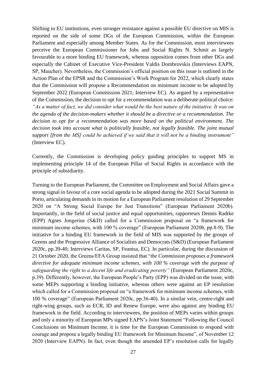Shifting to EU institutions, even stronger resistance against a possible EU directive on MIS is reported on the side of some DGs of the European Commission, within the European Parliament and especially among Member States. As for the Commission, most interviewees perceive the European Commissioner for Jobs and Social Rights N. Schmit as largely favourable to a more binding EU framework, whereas opposition comes from other DGs and especially the Cabinet of Executive Vice-President Valdis Dombrovskis (Interviews EAPN, SP, Maucher). Nevertheless, the Commission's official position on this issue is outlined in the Action Plan of the EPSR and the Commission's Work Program for 2022, which clearly states that the Commission will propose a Recommendation on minimum income to be adopted by September 2022 (European Commission 2021; Interview EC). As argued by a representative of the Commission, the decision to opt for a recommendation was a deliberate political choice: *"As a matter of fact, we did consider what would be the best nature of the initiative. It was on the agenda of the decision-makers whether it should be a directive or a recommendation. The decision to opt for a recommendation was more based on the political environment. The decision took into account what is politically feasible, not legally feasible. The joint mutual support [from the MS] could be achieved if we said that it will not be a binding instrument"*  (Interview EC).

Currently, the Commission is developing policy guiding principles to support MS in implementing principle 14 of the European Pillar of Social Rights in accordance with the principle of subsidiarity.

Turning to the European Parliament, the Committee on Employment and Social Affairs gave a strong signal in favour of a core social agenda to be adopted during the 2021 Social Summit in Porto, articulating demands in its motion for a European Parliament resolution of 29 September 2020 on "A Strong Social Europe for Just Transitions" (European Parliament 2020b). Importantly, in the field of social justice and equal opportunities, rapporteurs Dennis Radtke (EPP) Agnes Jongerius (S&D) called for a Commission proposal on "a framework for minimum income schemes, with 100 % coverage" (European Parliament 2020b, pp.8-9). The initiative for a binding EU framework in the field of MIS was supported by the groups of Greens and the Progressive Alliance of Socialists and Democrats (S&D) (European Parliament 2020c, pp.39-40; Interviews Caritas, SP, Feantsa, EC). In particular, during the discussion of 21 October 2020*,* the Greens/EFA Group insisted that "*the Commission proposes a framework directive for adequate minimum income schemes, with 100 % coverage with the purpose of safeguarding the right to a decent life and eradicating poverty"* (European Parliament 2020c, p.39). Differently, however, the European People's Party (EPP) was divided on the issue, with some MEPs supporting a binding initiative, whereas others were against an EP resolution which called for a Commission proposal on "a framework for minimum income schemes, with 100 % coverage" (European Parliament 2020c, pp.36-40). In a similar vein, centre-right and right-wing groups, such as ECR, ID and Renew Europe, were also against any binding EU framework in the field. According to interviewees, the position of MEPs varies within groups and only a minority of European MPs signed EAPN's Joint Statement "Following the Council Conclusions on Minimum Income, it is time for the European Commission to respond with courage and propose a legally binding EU framework for Minimum Income", of November 12 2020 (Interview EAPN). In fact, even though the amended EP's resolution calls for legally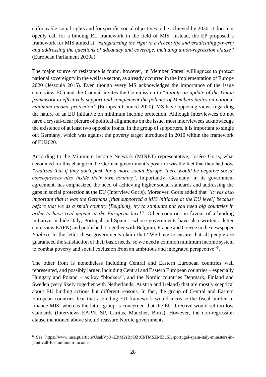enforceable social rights and for specific social objectives to be achieved by 2030, it does not openly call for a binding EU framework in the field of MIS. Instead, the EP proposed a framework for MIS aimed at *"safeguarding the right to a decent life and eradicating poverty and addressing the questions of adequacy and coverage, including a non-regression clause"*  (European Parliament 2020a).

The major source of resistance is found, however, in Member States' willingness to protect national sovereignty in the welfare sector, as already occurred in the implementation of Europe 2020 (Jessoula 2015). Even though every MS acknowledges the importance of the issue (Interview EC) and the Council invites the Commission to "*initiate an update of the Union framework to effectively support and complement the policies of Members States on national minimum income protection"* (European Council 2020), MS have opposing views regarding the nature of an EU initiative on minimum income protection. Although interviewees do not have a crystal-clear picture of political alignments on the issue, most interviewees acknowledge the existence of at least two opposite fronts. In the group of supporters, it is important to single out Germany, which was against the poverty target introduced in 2010 within the framework of EU2020.

According to the Minimum Income Network (MINET) representative, Joséee Goris, what accounted for this change in the German government's position was the fact that they had now *"realized that if they don't push for a more social Europe, there would be negative social consequences also inside their own country"*. Importantly, Germany, in its government agreement, has emphasized the need of achieving higher social standards and addressing the gaps in social protection at the EU (Interview Goris). Moreover, Goris added that *"it was also important that it was the Germans [that supported a MIS initiative at the EU level] because before that we as a small country [Belgium], try to stimulate but you need big countries in order to have real impact at the European level"*. Other countries in favour of a binding initiative include Italy, Portugal and Spain – whose governments have also written a letter (Interview EAPN) and published it together with Belgium, France and Greece in the newspaper *Publìco*. In the letter these governments claim that "We have to ensure that all people are guaranteed the satisfaction of their basic needs, so we need a common minimum income system to combat poverty and social exclusion from an ambitious and integrated perspective"<sup>6</sup>.

The other front is nonetheless including Central and Eastern European countries well represented, and possibly larger, including Central and Eastern European countries – especially Hungary and Poland – as key "blockers", and the Nordic countries Denmark, Finland and Sweden (very likely together with Netherlands, Austria and Ireland) that are mostly sceptical about EU binding actions but different reasons. In fact, the group of Central and Eastern European countries fear that a binding EU framework would increase the fiscal burden to finance MIS, whereas the latter group is concerned that the EU directive would set too low standards (Interviews EAPN, SP, Caritas, Maucher, Boris). However, the non-regression clause mentioned above should reassure Nordic governments.

<sup>6</sup> See https://www.lusa.pt/article/UsakVp8~Z3tM2sBpOZtCbTMSZM5iuSI1/portugal-spain-italy-ministers-injoint-call-for-minimum-income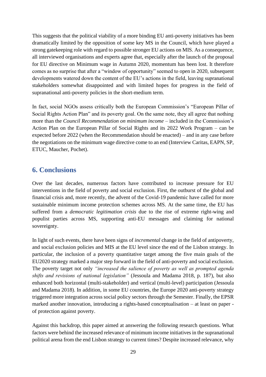This suggests that the political viability of a more binding EU anti-poverty initiatives has been dramatically limited by the opposition of some key MS in the Council, which have played a strong gatekeeping role with regard to possible stronger EU actions on MIS. As a consequence, all interviewed organisations and experts agree that, especially after the launch of the proposal for EU directive on Minimum wage in Autumn 2020, momentum has been lost. It therefore comes as no surprise that after a "window of opportunity" seemed to open in 2020, subsequent developments watered down the content of the EU's actions in the field, leaving supranational stakeholders somewhat disappointed and with limited hopes for progress in the field of supranational anti-poverty policies in the short-medium term.

In fact, social NGOs assess critically both the European Commission's "European Pillar of Social Rights Action Plan" and its poverty goal. On the same note, they all agree that nothing more than the *Council Recommendation on minimum income* – included in the Commission's Action Plan on the European Pillar of Social Rights and its 2022 Work Program – can be expected before 2022 (when the Recommendation should be enacted) – and in any case before the negotiations on the minimum wage directive come to an end (Interview Caritas, EAPN, SP, ETUC, Maucher, Pochet).

## <span id="page-28-0"></span>**6. Conclusions**

Over the last decades, numerous factors have contributed to increase pressure for EU interventions in the field of poverty and social exclusion. First, the outburst of the global and financial crisis and, more recently, the advent of the Covid-19 pandemic have called for more sustainable minimum income protection schemes across MS. At the same time, the EU has suffered from a *democratic legitimation crisis* due to the rise of extreme right-wing and populist parties across MS, supporting anti-EU messages and claiming for national sovereignty.

In light of such events, there have been signs of *incremental* change in the field of antipoverty, and social exclusion policies and MIS at the EU level since the end of the Lisbon strategy. In particular, the inclusion of a poverty quantitative target among the five main goals of the EU2020 strategy marked a major step forward in the field of anti-poverty and social exclusion. The poverty target not only *"increased the salience of poverty as well as prompted agenda shifts and revisions of national legislation"* (Jessoula and Madama 2018, p. 187), but also enhanced both horizontal (multi-stakeholder) and vertical (multi-level) participation (Jessoula and Madama 2018). In addition, in some EU countries, the Europe 2020 anti-poverty strategy triggered more integration across social policy sectors through the Semester. Finally, the EPSR marked another innovation, introducing a rights-based conceptualisation – at least on paper of protection against poverty.

Against this backdrop, this paper aimed at answering the following research questions. What factors were behind the increased relevance of minimum income initiatives in the supranational political arena from the end Lisbon strategy to current times? Despite increased relevance, why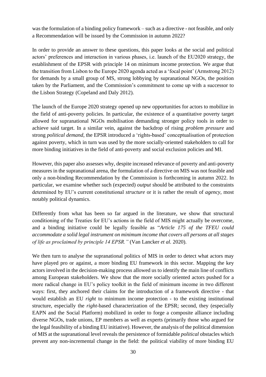was the formulation of a binding policy framework – such as a directive - not feasible, and only a Recommendation will be issued by the Commission in autumn 2022?

In order to provide an answer to these questions, this paper looks at the social and political actors' preferences and interaction in various phases, i.e. launch of the EU2020 strategy, the establishment of the EPSR with principle 14 on minimum income protection. We argue that the transition from Lisbon to the Europe 2020 agenda acted as a 'focal point' (Armstrong 2012) for demands by a small group of MS, strong lobbying by supranational NGOs, the position taken by the Parliament, and the Commission's commitment to come up with a successor to the Lisbon Strategy (Copeland and Daly 2012).

The launch of the Europe 2020 strategy opened up new opportunities for actors to mobilize in the field of anti-poverty policies. In particular, the existence of a quantitative poverty target allowed for supranational NGOs mobilisation demanding stronger policy tools in order to achieve said target. In a similar vein, against the backdrop of rising *problem pressure* and strong *political demand*, the EPSR introduced a 'rights-based' conceptualisation of protection against poverty, which in turn was used by the more socially-oriented stakeholders to call for more binding initiatives in the field of anti-poverty and social exclusion policies and MI.

However, this paper also assesses why, despite increased relevance of poverty and anti-poverty measures in the supranational arena, the formulation of a directive on MIS was not feasible and only a non-binding Recommendation by the Commission is forthcoming in autumn 2022. In particular, we examine whether such (expected) *output* should be attributed to the constraints determined by EU's current constitutional *structure* or it is rather the result of *agency*, most notably political dynamics.

Differently from what has been so far argued in the literature, we show that structural conditioning of the Treaties for EU's actions in the field of MIS might actually be overcome, and a binding initiative could be legally feasible as "*Article 175 of the TFEU could accommodate a solid legal instrument on minimum income that covers all persons at all stages of life as proclaimed by principle 14 EPSR."* (Van Lancker *et al.* 2020).

We then turn to analyse the supranational politics of MIS in order to detect what actors may have played pro or against, a more binding EU framework in this sector. Mapping the key actors involved in the decision-making process allowed us to identify the main line of conflicts among European stakeholders. We show that the more socially oriented actors pushed for a more radical change in EU's policy toolkit in the field of minimum income in two different ways: first, they anchored their claims for the introduction of a framework directive - that would establish an EU *right* to minimum income protection - to the existing institutional structure, especially the *right*-based characterization of the EPSR; second, they (especially EAPN and the Social Platform) mobilized in order to forge a composite alliance including diverse NGOs, trade unions, EP members as well as experts (primarily those who argued for the legal feasibility of a binding EU initiative). However, the analysis of the political dimension of MIS at the supranational level reveals the persistence of formidable *political* obstacles which prevent any non-incremental change in the field: the political viability of more binding EU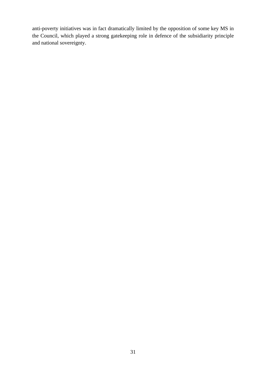anti-poverty initiatives was in fact dramatically limited by the opposition of some key MS in the Council, which played a strong gatekeeping role in defence of the subsidiarity principle and national sovereignty.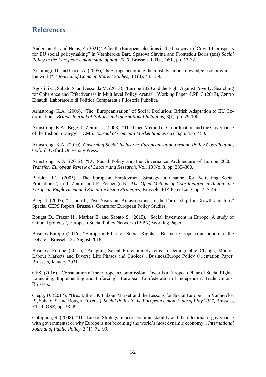## <span id="page-31-0"></span>**References**

Anderson, K., and Heins, E. (2021) "After the European elections in the first wave of Covi-19: prospects for EU social policymaking" in Vernhercke Bart, Spasova Slavina and Fronteddu Boris (eds) *Social Policy in the European Union: state of play 2020*, Brussels, ETUI, OSE, pp. 13-32.

Archibugi, D. and Coco, A. (2005), "Is Europe becoming the most dynamic knowledge economy in the world?'" *Journal of Common Market Studies*, 43 (3): 433–59.

Agostini C., Sabato S. and Jessoula M. (2013), "Europe 2020 and the Fight Against Poverty: Searching for Coherence and Effectiveness in Multilevel Policy Arenas", Working Paper -LPF, 3 (2013), Centro Einaudi, Laboratorio di Politica Comparata e Filosofia Pubblica

Armstrong, K.A. (2006), "The 'Europeanisation' of Social Exclusion: British Adaptation to EU Coordination", *British Journal of Politics and International Relations*, 8(1): pp. 79-100.

Armstrong, K.A., Begg, I., Zeitlin, J., (2008), "The Open Method of Co-ordination and the Governance of the Lisbon Strategy". JCMS: *Journal of Common Market Studies* 46 (1),pp. 436–450.

Armstrong, K.A. (2010), *Governing Social Inclusion: Europeanisation through Policy Coordination*, Oxford: Oxford University Press.

Armstrong, K.A. (2012), "EU Social Policy and the Governance Architecture of Europe 2020", *Transfer: European Review of Labour and Research*, Vol. 18 No. 3, pp. 285–300.

Barbier, J.C. (2005), "The European Employment Strategy: a Channel for Activating Social Protection?", in J. Zeitlin and P. Pochet (eds.) *The Open Method of Coordination in Action: the European Employment and Social Inclusion Strategies*, Brussels: PIE-Peter Lang, pp. 417-46.

Begg, I. (2007), "Lisbon II, Two Years on: An assessment of the Partnership for Growth and Jobs" Special CEPS Report, Brussels: Centre for European Policy Studies.

Bouget D., Frazer H., Marlier E. and Sabato S. (2015), "Social Investment in Europe: A study of national policies", European Social Policy Network (ESPN) Working Paper.

BusinessEurope (2016), "European Pillar of Social Rights - BusinessEurope contribution to the Debate", Brussels, 24 August 2016.

Business Europe (2021), "Adapting Social Protection Systems to Demographic Change, Modern Labour Markets and Diverse Life Phases and Choices", BusinessEurope Policy Orientation Paper, Brussels, January 2021.

CESI (2016), "Consultation of the European Commission, Towards a European Pillar of Social Rights: Launching, Implementing and Enforcing", European Confederation of Independent Trade Unions, Brussels.

Clegg, D. (2017), "Brexit, the UK Labour Market and the Lessons for Social Europe", in Vanhercke, B., Sabato, S. and Bouget, D. (eds.), *Social Policy in the European Union: State of Play 2017*, Brussels, ETUI, OSE, pp. 33-49.

Collignon, S. (2008), "The Lisbon Strategy, macroeconomic stability and the dilemma of governance with governments; or why Europe is not becoming the world's most dynamic economy", *International Journal of Public Policy*, 3 (1): 72–99.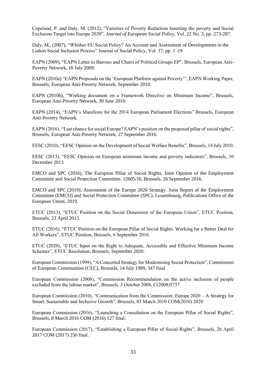Copeland, P. and Daly, M. (2012), "Varieties of Poverty Reduction Inserting the poverty and Social Exclusion Target into Europe 2020", *Journal of European Social Policy,* Vol. 22 No. 3, pp. 273-287.

Daly, M., (2007), "Whither EU Social Policy? An Account and Assessment of Developments in the Lisbon Social Inclusion Process" Journal of Social Policy, Vol. 37, pp. 1–19

EAPN (2009), "EAPN Letter to Barroso and Chairs of Political Groups EP", Brussels, European Anti-Poverty Network, 10 July 2009.

EAPN (2010a) "EAPN Proposals on the 'European Platform against Poverty'", EAPN Working Paper, Brussels, European Anti-Poverty Network, September 2010.

EAPN (2010b), "Working document on a Framework Directive on Minimum Income", Brussels, European Anti-Poverty Network, 30 June 2010.

EAPN (2014), "EAPN's Manifesto for the 2014 European Parliament Elections" Brussels, European Anti-Poverty Network.

EAPN (2016), "Last chance for social Europe? EAPN's position on the proposed pillar of social rights", Brussels, European Anti-Poverty Network, 27 September 2016.

EESC (2010), "EESC Opinion on the Development of Social Welfare Benefits", Brussels, 14 July 2010.

EESC (2013), "EESC Opinion on European minimum income and poverty indicators", Brussels, 10 December 2013

EMCO and SPC (2016), The European Pillar of Social Rights, Joint Opinion of the Employment Committee and Social Protection Committee. 12605/16, Brussels, 26 September 2016.

EMCO and SPC (2019), Assessment of the Europe 2020 Strategy. Joint Report of the Employment Committee (EMCO) and Social Protection Committee (SPC). Luxembourg, Publications Office of the European Union, 2019.

ETUC (2013), "ETUC Position on the Social Dimension of the European Union", ETUC Position, Brussels, 23 April 2013.

ETUC (2016), "ETUC Position on the European Pillar of Social Rights. Working for a Better Deal for All Workers", ETUC Position, Brussels, 6 September 2016.

ETUC (2020), "ETUC Input on the Right to Adequate, Accessible and Effective Minimum Income Schemes", ETUC Resolution, Brussels, September 2020.

European Commission (1999), "A Concerted Strategy for Modernising Social Protection", Commission of European Communities (CEC), Brussels, 14 July 1999, 347 final

European Commission (2008), "Commission Recommendation on the active inclusion of people excluded from the labour market", Brussels, 3 October 2008, C(2008)5737

European Commission (2010), "Communication from the Commission: Europe 2020 – A Strategy for Smart, Sustainable and Inclusive Growth", Brussels, 03 March 2010 COM(2010) 2020

European Commission (2016), "Launching a Consultation on the European Pillar of Social Rights", Brussels, 8 March 2016 COM (2016) 127 final.

European Commission (2017), "Establishing a European Pillar of Social Rights", Brussels, 26 April 2017 COM (2017) 250 final.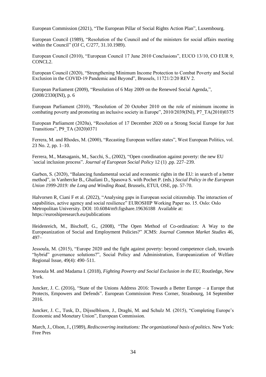European Commission (2021), "The European Pillar of Social Rights Action Plan", Luxembourg.

European Council (1989), "Resolution of the Council and of the ministers for social affairs meeting within the Council" (OJ C, C/277, 31.10.1989).

European Council (2010), "European Council 17 June 2010 Conclusions", EUCO 13/10, CO EUR 9, CONCL2.

European Council (2020), "Strengthening Minimum Income Protection to Combat Poverty and Social Exclusion in the COVID-19 Pandemic and Beyond", Brussels, 11721/2/20 REV 2.

European Parliament (2009), "Resolution of 6 May 2009 on the Renewed Social Agenda,", (2008/2330(INI), p. 6

European Parliament (2010), "Resolution of 20 October 2010 on the role of minimum income in combating poverty and promoting an inclusive society in Europe", 2010/2039(INI), P7\_TA(2010)0375

European Parliament (2020a), "Resolution of 17 December 2020 on a Strong Social Europe for Just Transitions", P9\_TA (2020)0371

Ferrera, M. and Rhodes, M. (2000), "Recasting European welfare states", West European Politics, vol. 23 No. 2, pp. 1–10.

Ferrera, M., Matsaganis, M., Sacchi, S., (2002), "Open coordination against poverty: the new EU `social inclusion process". *Journal of European Social Policy* 12 (1) ,pp. 227–239.

Garben, S. (2020), "Balancing fundamental social and economic rights in the EU: in search of a better method", in Vanhercke B., Ghailani D., Spasova S. with Pochet P. (eds.) *Social Policy in the European Union 1999-2019: the Long and Winding Road*, Brussels, ETUI, OSE, pp. 57-70.

Halvorsen R, Ciani F et al. (2022), "Analysing gaps in European social citizenship. The interaction of capabilities, active agency and social resilience" EUROSHIP Working Paper no. 15. Oslo: Oslo Metropolitan University. DOI: 10.6084/m9.figshare.19636188 Available at: https://euroshipresearch.eu/publications

Heidenreich, M., Bischoff, G., (2008), "The Open Method of Co-ordination: A Way to the Europeanization of Social and Employment Policies?" JCMS: *Journal Common Market Studies* 46, 497–

Jessoula, M. (2015), "Europe 2020 and the fight against poverty: beyond competence clash, towards "hybrid" governance solutions?", Social Policy and Administration, Europeanization of Welfare Regional Issue, 49(4): 490–511.

Jessoula M. and Madama I. (2018), *Fighting Poverty and Social Exclusion in the EU*, Routledge, New York.

Juncker, J. C. (2016), "State of the Unions Address 2016: Towards a Better Europe – a Europe that Protects, Empowers and Defends". European Commission Press Corner, Strasbourg, 14 September 2016.

Juncker, J. C., Tusk, D., Dijsselbloem, J., Draghi, M. and Schulz M. (2015), "Completing Europe's Economic and Monetary Union", European Commission.

March, J., Olson, J., (1989), *Rediscovering institutions: The organizational basis of politics*. New York: Free Pres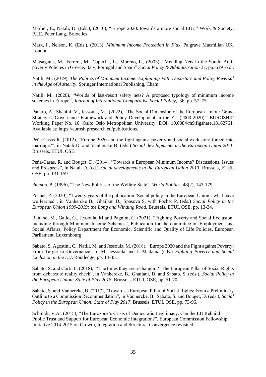Marlier, E., Natali, D. (Eds.), (2010), "Europe 2020: towards a more social EU?," Work & Society. P.I.E. Peter Lang, Bruxelles.

Marx, I., Nelson, K. (Eds.), (2013), *Minimum Income Protection in Flux*. Palgrave Macmillan UK, London.

Matsaganis, M., Ferrera, M., Capucha, L., Moreno, L., (2003), "Mending Nets in the South: Antipoverty Policies in Greece, Italy, Portugal and Spain" *Social Policy & Administration* 37, pp. 639–655.

Natili, M., (2019), *The Politics of Minimum Income: Explaining Path Departure and Policy Reversal in the Age of Austerity*. Springer International Publishing, Cham.

Natili, M., (2020), "Worlds of last-resort safety nets? A proposed typology of minimum income schemes in Europe", *Journal of International Comparative Social Policy*, 36, pp. 57–75.

Panaro, A., Shahini, V., Jessoula, M., (2022), "The Social Dimension of the European Union: Grand Strategies, Governance Framework and Policy Development in the EU (2000-2020)". EUROSHIP Working Paper No. 10. Oslo: Oslo Metropolitan University. DOI: 10.6084/m9.figshare.18162761. Available at: https://euroshipresearch.eu/publications.

Peña-Casas R. (2012), "Europe 2020 and the fight against poverty and social exclusion: forced into marriage?", in Natali D. and Vanhercke B. (eds.) *Social developments in the European Union 2011*, Brussels, ETUI, OSE.

Peña-Casas, R. and Bouget, D. (2014), "Towards a European Minimum Income? Discussions, Issues and Prospects", in Natali D. (ed.) *Social developments in the European Union 2013*, Brussels, ETUI, OSE, pp. 131-159.

Pierson, P. (1996), "The New Politics of the Welfare State". *World Politics*, 48(2), 143-179.

Pochet, P. (2020), "Twenty years of the publication 'Social policy in the European Union': what have we learned", in Vanhercke B., Ghailani D., Spasova S. with Pochet P. (eds.) *Social Policy in the European Union 1999-2019: the Long and Winding Road*, Brussels, ETUI, OSE, pp. 13-34.

Raitano, M., Gallo, G., Jessoula, M and Pagnini, C. (2021), "Fighting Poverty and Social Exclusion: Including through Minimum Income Schemes", Publication for the committee on Employment and Social Affairs, Policy Department for Economic, Scientific and Quality of Life Policies, European Parliament, Luxembourg.

Sabato, S. Agostini, C., Natili, M. and Jessoula, M. (2018), "Europe 2020 and the Fight against Poverty: From Target to Governance", in M. Jessoula and I. Madama (eds.) *Fighting Poverty and Social Exclusion in the EU*, Routledge, pp. 14-35.

Sabato, S. and Corti, F. (2018), "'The times they are a-changin'?' The European Pillar of Social Rights from debates to reality check", in Vanhercke, B., Ghailani, D. and Sabato, S. (eds.), *Social Policy in the European Union: State of Play 2018*, Brussels, ETUI, OSE, pp. 51-70

Sabato, S. and Vanhercke, B. (2017), "Towards a European Pillar of Social Rights: From a Preliminary Outline to a Commission Recommendation", in Vanhercke, B., Sabato, S. and Bouget, D. (eds.), *Social Policy in the European Union: State of Play 2017*, Brussels, ETUI, OSE, pp. 73-96.

Schmidt, V.A., (2015), "The Eurozone's Crisis of Democratic Legitimacy. Can the EU Rebuild Public Trust and Support for European Economic Integration?", European Commission Fellowship Initiative 2014-2015 on Growth, Integration and Structural Convergence revisited.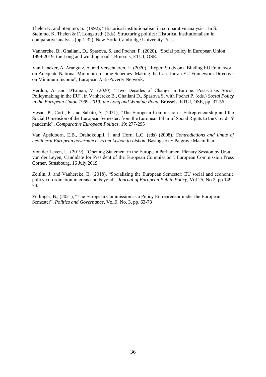Thelen K. and Steinmo, S. (1992), "Historical institutionalism in comparative analysis". In S. Steinmo, K. Thelen & F. Longstreth (Eds), Structuring politics: Historical institutionalism in comparative analysis (pp.1-32). New York: Cambridge University Press

Vanhercke, B., Ghailani, D., Spasova, S. and Pochet, P. (2020), "Social policy in European Union 1999-2019: the Long and winding road", Brussels, ETUI, OSE.

Van Lancker, A. Aranguiz, A. and Verschueren, H. (2020), "Expert Study on a Binding EU Framework on Adequate National Minimum Income Schemes: Making the Case for an EU Framework Directive on Minimum Income", European Anti-Poverty Network.

Verdun, A. and D'Erman, V. (2020), "Two Decades of Change in Europe: Post-Crisis Social Policymaking in the EU", in Vanhercke B., Ghailani D., Spasova S. with Pochet P. (eds.) *Social Policy in the European Union 1999-2019: the Long and Winding Road*, Brussels, ETUI, OSE, pp. 37-56.

Vesan, P., Corti, F. and Sabato, S. (2021), "The European Commission's Entrepreneurship and the Social Dimension of the European Semester: from the European Pillar of Social Rights to the Covid-19 pandemic", *Comparative European Politics*, 19: 277-295

Van Apeldoorn, E.B., Drahokoupil, J. and Horn, L.C. (eds) (2008), *Contradictions and limits of neoliberal European governance: From Lisbon to Lisbon*, Basingstoke: Palgrave Macmillan.

Von der Leyen, U. (2019), "Opening Statement in the European Parliament Plenary Session by Ursula von der Leyen, Candidate for President of the European Commission", European Commission Press Corner, Strasbourg, 16 July 2019.

Zeitlin, J. and Vanhercke, B. (2018), "Socializing the European Semester: EU social and economic policy co-ordination in crisis and beyond", *Journal of European Public Policy*, Vol.25, No.2, pp.149– 74.

Zeilinger, B., (2021), "The European Commission as a Policy Entrepreneur under the European Semester", *Politics and Governance*, Vol.9, No. 3, pp. 63-73